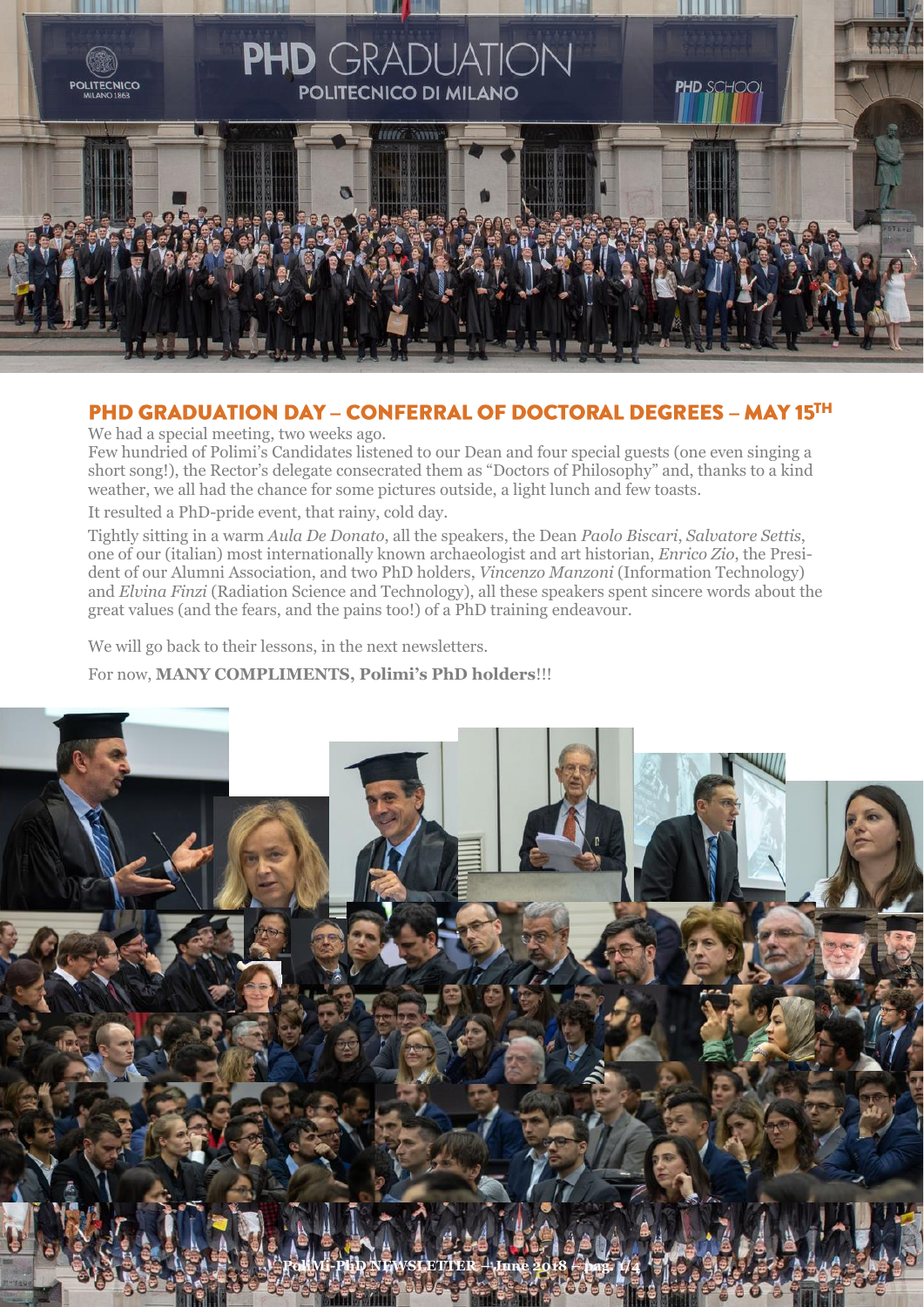

### PHD GRADUATION DAY - CONFERRAL OF DOCTORAL DEGREES - MAY 15TH

We had a special meeting, two weeks ago.

Few hundried of Polimi's Candidates listened to our Dean and four special guests (one even singing a short song!), the Rector's delegate consecrated them as "Doctors of Philosophy" and, thanks to a kind weather, we all had the chance for some pictures outside, a light lunch and few toasts.

It resulted a PhD-pride event, that rainy, cold day.

Tightly sitting in a warm *Aula De Donato*, all the speakers, the Dean *Paolo Biscari*, *Salvatore Settis*, one of our (italian) most internationally known archaeologist and art historian, *Enrico Zio*, the President of our Alumni Association, and two PhD holders, *Vincenzo Manzoni* (Information Technology) and *Elvina Finzi* (Radiation Science and Technology), all these speakers spent sincere words about the great values (and the fears, and the pains too!) of a PhD training endeavour.

We will go back to their lessons, in the next newsletters.

For now, **MANY COMPLIMENTS, Polimi's PhD holders**!!!

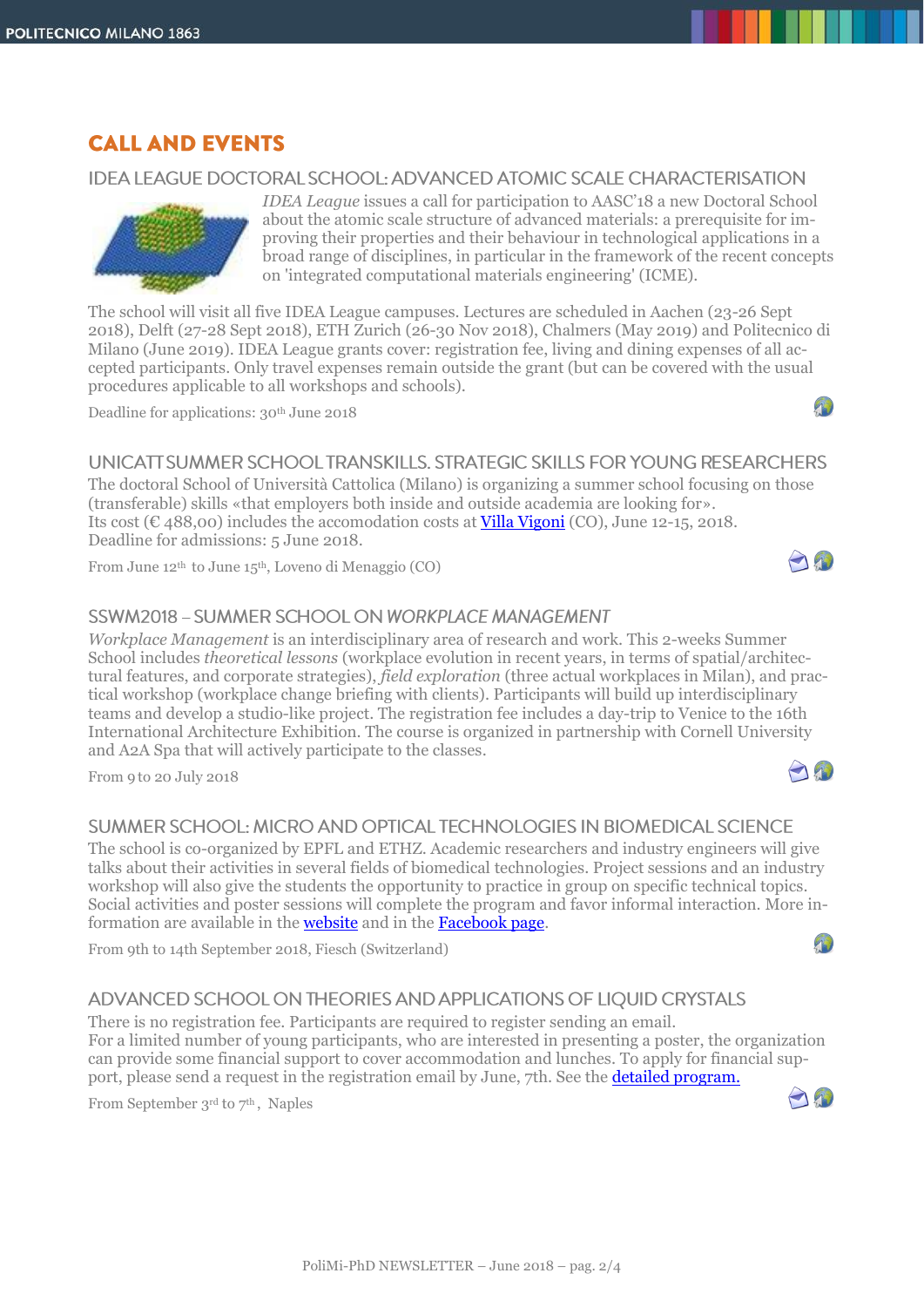## **CALL AND EVENTS**

#### IDEA LEAGUE DOCTORAL SCHOOL: ADVANCED ATOMIC SCALE CHARACTERISATION



*IDEA League* issues a call for participation to AASC'18 a new Doctoral School about the atomic scale structure of advanced materials: a prerequisite for improving their properties and their behaviour in technological applications in a broad range of disciplines, in particular in the framework of the recent concepts on 'integrated computational materials engineering' (ICME).

The school will visit all five IDEA League campuses. Lectures are scheduled in Aachen (23-26 Sept 2018), Delft (27-28 Sept 2018), ETH Zurich (26-30 Nov 2018), Chalmers (May 2019) and Politecnico di Milano (June 2019). IDEA League grants cover: registration fee, living and dining expenses of all accepted participants. Only travel expenses remain outside the grant (but can be covered with the usual procedures applicable to all workshops and schools).

Deadline for applications: 30<sup>th</sup> June 2018

### UNICATT SUMMER SCHOOL TRANSKILLS, STRATEGIC SKILLS FOR YOUNG RESEARCHERS

The doctoral School of Università Cattolica (Milano) is organizing a summer school focusing on those (transferable) skills «that employers both inside and outside academia are looking for». Its cost (€ 488,00) includes the accomodation costs at [Villa Vigoni](https://www.villavigoni.eu/storia/?lang=en) (CO), June 12-15, 2018. Deadline for admissions: 5 June 2018.

From June 12th to June 15th, Loveno di Menaggio (CO)

#### SSWM2018 - SUMMER SCHOOL ON WORKPLACE MANAGEMENT

*Workplace Management* is an interdisciplinary area of research and work. This 2-weeks Summer School includes *theoretical lessons* (workplace evolution in recent years, in terms of spatial/architectural features, and corporate strategies), *field exploration* (three actual workplaces in Milan), and practical workshop (workplace change briefing with clients). Participants will build up interdisciplinary teams and develop a studio-like project. The registration fee includes a day-trip to Venice to the 16th International Architecture Exhibition. The course is organized in partnership with Cornell University and A2A Spa that will actively participate to the classes.

From 9 to 20 July 2018

#### SUMMER SCHOOL: MICRO AND OPTICAL TECHNOLOGIES IN BIOMEDICAL SCIENCE

The school is co-organized by EPFL and ETHZ. Academic researchers and industry engineers will give talks about their activities in several fields of biomedical technologies. Project sessions and an industry workshop will also give the students the opportunity to practice in group on specific technical topics. Social activities and poster sessions will complete the program and favor informal interaction. More information are available in th[e website](https://mot2018.epfl.ch/) and in the [Facebook page.](https://www.facebook.com/SummerSchool.MOT2018)

From 9th to 14th September 2018, Fiesch (Switzerland)

#### ADVANCED SCHOOL ON THEORIES AND APPLICATIONS OF LIOUID CRYSTALS

There is no registration fee. Participants are required to register sending an email. For a limited number of young participants, who are interested in presenting a poster, the organization can provide some financial support to cover accommodation and lunches. To apply for financial support, please send a request in the registration email by June, 7th. See the **detailed program.** 

From September 3rd to 7<sup>th</sup>, Naples



 $\sqrt{1}$ 



 $\sqrt{1}$ 

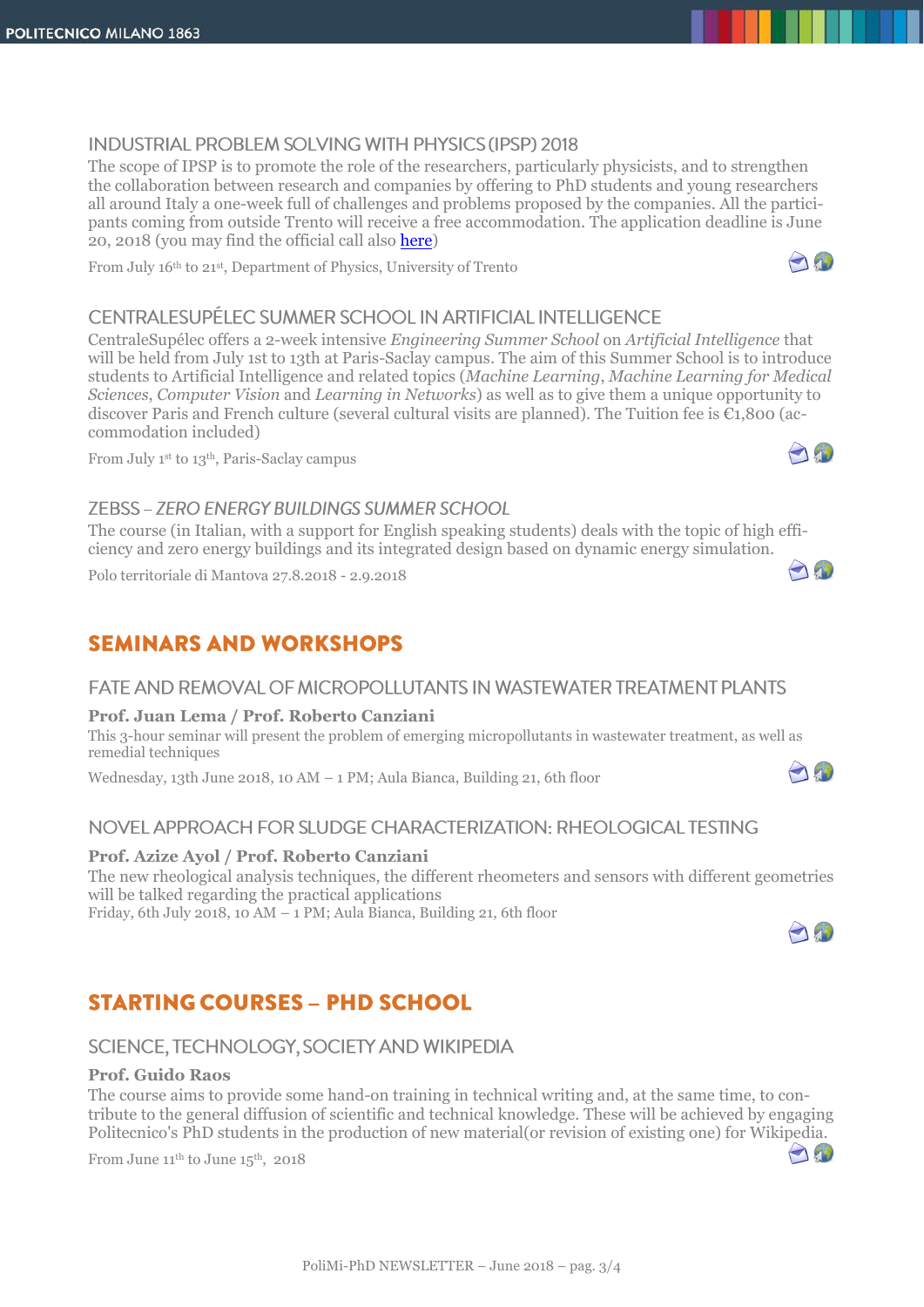### **INDUSTRIAL PROBLEM SOLVING WITH PHYSICS (IPSP) 2018**

The scope of IPSP is to promote the role of the researchers, particularly physicists, and to strengthen the collaboration between research and companies by offering to PhD students and young researchers all around Italy a one-week full of challenges and problems proposed by the companies. All the participants coming from outside Trento will receive a free accommodation. The application deadline is June 20, 2018 (you may find the official call also [here\)](http://www.dottorato.polimi.it/fileadmin/files/dottorato/newsletter/allegati/2018-06/IPSP-2018_bandi_CALL-BRAINS-EN.pdf)

From July 16th to 21st, Department of Physics, University of Trento

## CENTRAI ESUPÉI EC SUMMER SCHOOL IN ARTIFICIAL INTELLIGENCE

CentraleSupélec offers a 2-week intensive *Engineering Summer School* on *Artificial Intelligence* that will be held from July 1st to 13th at Paris-Saclay campus. The aim of this Summer School is to introduce students to Artificial Intelligence and related topics (*Machine Learning*, *Machine Learning for Medical Sciences*, *Computer Vision* and *Learning in Networks*) as well as to give them a unique opportunity to discover Paris and French culture (several cultural visits are planned). The Tuition fee is  $\epsilon_{1,800}$  (accommodation included)

From July 1st to 13th, Paris-Saclay campus

### **ZEBSS - ZERO ENERGY BUILDINGS SUMMER SCHOOL**

The course (in Italian, with a support for English speaking students) deals with the topic of high efficiency and zero energy buildings and its integrated design based on dynamic energy simulation.

Polo territoriale di Mantova 27.8.2018 - 2.9.2018

## **SEMINARS AND WORKSHOPS**

## FATE AND REMOVAL OF MICROPOLLUTANTS IN WASTEWATER TREATMENT PLANTS

#### **Prof. Juan Lema / Prof. Roberto Canziani**

This 3-hour seminar will present the problem of emerging micropollutants in wastewater treatment, as well as remedial techniques

Wednesday, 13th June 2018, 10 AM – 1 PM; Aula Bianca, Building 21, 6th floor

## NOVEL APPROACH FOR SLUDGE CHARACTERIZATION: RHEOLOGICAL TESTING

#### **Prof. Azize Ayol / Prof. Roberto Canziani**

The new rheological analysis techniques, the different rheometers and sensors with different geometries will be talked regarding the practical applications

Friday, 6th July 2018, 10 AM – 1 PM; Aula Bianca, Building 21, 6th floor

# **STARTING COURSES - PHD SCHOOL**

## SCIENCE, TECHNOLOGY, SOCIETY AND WIKIPEDIA

#### **Prof. Guido Raos**

The course aims to provide some hand-on training in technical writing and, at the same time, to contribute to the general diffusion of scientific and technical knowledge. These will be achieved by engaging Politecnico's PhD students in the production of new material(or revision of existing one) for Wikipedia. 

From June  $11^{\text{th}}$  to June  $15^{\text{th}}$ , 2018



A







And